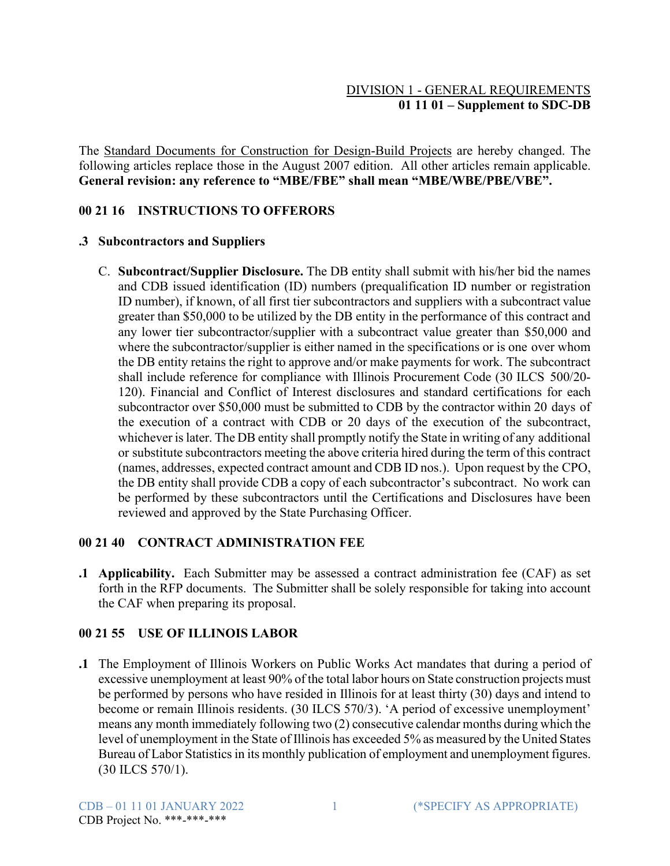# DIVISION 1 - GENERAL REQUIREMENTS **01 11 01 – Supplement to SDC-DB**

The Standard Documents for Construction for Design-Build Projects are hereby changed. The following articles replace those in the August 2007 edition. All other articles remain applicable. **General revision: any reference to "MBE/FBE" shall mean "MBE/WBE/PBE/VBE".**

## **00 21 16 INSTRUCTIONS TO OFFERORS**

#### **.3 Subcontractors and Suppliers**

C. **Subcontract/Supplier Disclosure.** The DB entity shall submit with his/her bid the names and CDB issued identification (ID) numbers (prequalification ID number or registration ID number), if known, of all first tier subcontractors and suppliers with a subcontract value greater than \$50,000 to be utilized by the DB entity in the performance of this contract and any lower tier subcontractor/supplier with a subcontract value greater than \$50,000 and where the subcontractor/supplier is either named in the specifications or is one over whom the DB entity retains the right to approve and/or make payments for work. The subcontract shall include reference for compliance with Illinois Procurement Code (30 ILCS 500/20- 120). Financial and Conflict of Interest disclosures and standard certifications for each subcontractor over \$50,000 must be submitted to CDB by the contractor within 20 days of the execution of a contract with CDB or 20 days of the execution of the subcontract, whichever is later. The DB entity shall promptly notify the State in writing of any additional or substitute subcontractors meeting the above criteria hired during the term of this contract (names, addresses, expected contract amount and CDB ID nos.). Upon request by the CPO, the DB entity shall provide CDB a copy of each subcontractor's subcontract. No work can be performed by these subcontractors until the Certifications and Disclosures have been reviewed and approved by the State Purchasing Officer.

#### **00 21 40 CONTRACT ADMINISTRATION FEE**

**.1 Applicability.** Each Submitter may be assessed a contract administration fee (CAF) as set forth in the RFP documents. The Submitter shall be solely responsible for taking into account the CAF when preparing its proposal.

## **00 21 55 USE OF ILLINOIS LABOR**

**.1** The Employment of Illinois Workers on Public Works Act mandates that during a period of excessive unemployment at least 90% of the total labor hours on State construction projects must be performed by persons who have resided in Illinois for at least thirty (30) days and intend to become or remain Illinois residents. (30 ILCS 570/3). 'A period of excessive unemployment' means any month immediately following two (2) consecutive calendar months during which the level of unemployment in the State of Illinois has exceeded 5% as measured by the United States Bureau of Labor Statistics in its monthly publication of employment and unemployment figures. (30 ILCS 570/1).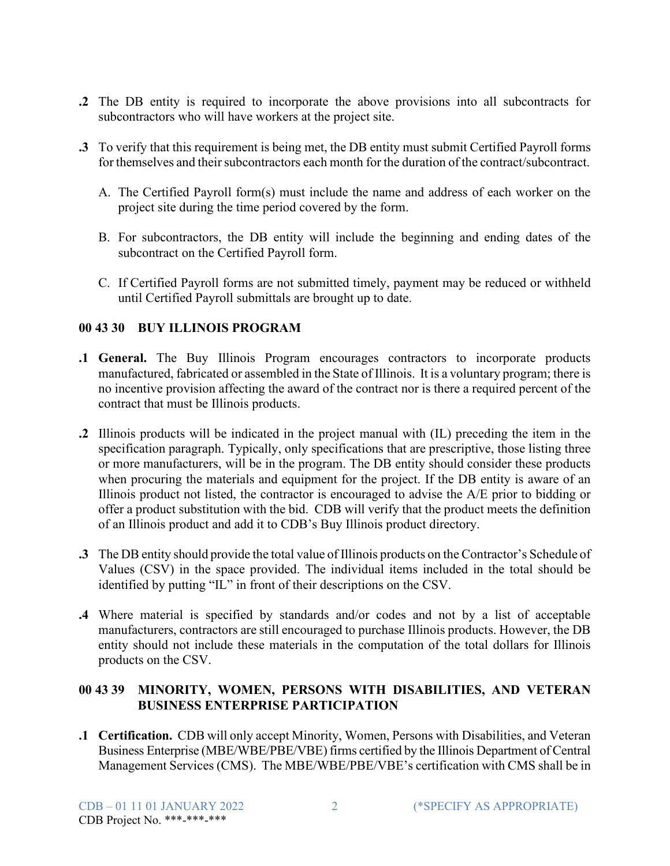- **.2** The DB entity is required to incorporate the above provisions into all subcontracts for subcontractors who will have workers at the project site.
- **.3** To verify that this requirement is being met, the DB entity must submit Certified Payroll forms for themselves and their subcontractors each month for the duration of the contract/subcontract.
	- A. The Certified Payroll form(s) must include the name and address of each worker on the project site during the time period covered by the form.
	- B. For subcontractors, the DB entity will include the beginning and ending dates of the subcontract on the Certified Payroll form.
	- C. If Certified Payroll forms are not submitted timely, payment may be reduced or withheld until Certified Payroll submittals are brought up to date.

## **00 43 30 BUY ILLINOIS PROGRAM**

- **.1 General.** The Buy Illinois Program encourages contractors to incorporate products manufactured, fabricated or assembled in the State of Illinois. It is a voluntary program; there is no incentive provision affecting the award of the contract nor is there a required percent of the contract that must be Illinois products.
- **.2** Illinois products will be indicated in the project manual with (IL) preceding the item in the specification paragraph. Typically, only specifications that are prescriptive, those listing three or more manufacturers, will be in the program. The DB entity should consider these products when procuring the materials and equipment for the project. If the DB entity is aware of an Illinois product not listed, the contractor is encouraged to advise the A/E prior to bidding or offer a product substitution with the bid. CDB will verify that the product meets the definition of an Illinois product and add it to CDB's Buy Illinois product directory.
- **.3** The DB entity should provide the total value of Illinois products on the Contractor's Schedule of Values (CSV) in the space provided. The individual items included in the total should be identified by putting "IL" in front of their descriptions on the CSV.
- **.4** Where material is specified by standards and/or codes and not by a list of acceptable manufacturers, contractors are still encouraged to purchase Illinois products. However, the DB entity should not include these materials in the computation of the total dollars for Illinois products on the CSV.

## **00 43 39 MINORITY, WOMEN, PERSONS WITH DISABILITIES, AND VETERAN BUSINESS ENTERPRISE PARTICIPATION**

**.1 Certification.** CDB will only accept Minority, Women, Persons with Disabilities, and Veteran Business Enterprise (MBE/WBE/PBE/VBE) firms certified by the Illinois Department of Central Management Services (CMS). The MBE/WBE/PBE/VBE's certification with CMS shall be in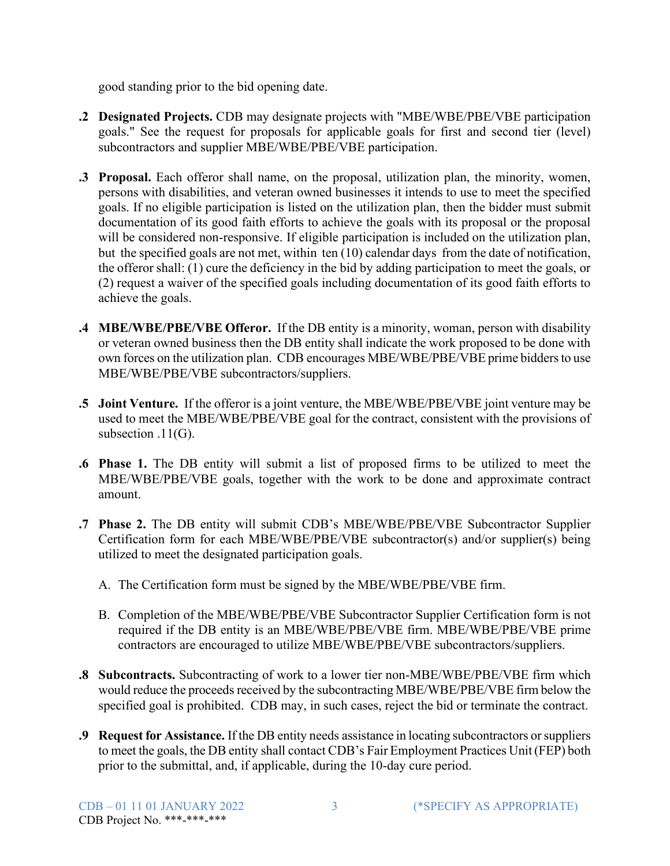good standing prior to the bid opening date.

- **.2 Designated Projects.** CDB may designate projects with "MBE/WBE/PBE/VBE participation goals." See the request for proposals for applicable goals for first and second tier (level) subcontractors and supplier MBE/WBE/PBE/VBE participation.
- **.3 Proposal.** Each offeror shall name, on the proposal, utilization plan, the minority, women, persons with disabilities, and veteran owned businesses it intends to use to meet the specified goals. If no eligible participation is listed on the utilization plan, then the bidder must submit documentation of its good faith efforts to achieve the goals with its proposal or the proposal will be considered non-responsive. If eligible participation is included on the utilization plan, but the specified goals are not met, within ten (10) calendar days from the date of notification, the offeror shall: (1) cure the deficiency in the bid by adding participation to meet the goals, or (2) request a waiver of the specified goals including documentation of its good faith efforts to achieve the goals.
- **.4 MBE/WBE/PBE/VBE Offeror.** If the DB entity is a minority, woman, person with disability or veteran owned business then the DB entity shall indicate the work proposed to be done with own forces on the utilization plan. CDB encourages MBE/WBE/PBE/VBE prime bidders to use MBE/WBE/PBE/VBE subcontractors/suppliers.
- **.5 Joint Venture.** If the offeror is a joint venture, the MBE/WBE/PBE/VBE joint venture may be used to meet the MBE/WBE/PBE/VBE goal for the contract, consistent with the provisions of subsection .11(G).
- **.6 Phase 1.** The DB entity will submit a list of proposed firms to be utilized to meet the MBE/WBE/PBE/VBE goals, together with the work to be done and approximate contract amount.
- **.7 Phase 2.** The DB entity will submit CDB's MBE/WBE/PBE/VBE Subcontractor Supplier Certification form for each MBE/WBE/PBE/VBE subcontractor(s) and/or supplier(s) being utilized to meet the designated participation goals.
	- A. The Certification form must be signed by the MBE/WBE/PBE/VBE firm.
	- B. Completion of the MBE/WBE/PBE/VBE Subcontractor Supplier Certification form is not required if the DB entity is an MBE/WBE/PBE/VBE firm. MBE/WBE/PBE/VBE prime contractors are encouraged to utilize MBE/WBE/PBE/VBE subcontractors/suppliers.
- **.8 Subcontracts.** Subcontracting of work to a lower tier non-MBE/WBE/PBE/VBE firm which would reduce the proceeds received by the subcontracting MBE/WBE/PBE/VBE firm below the specified goal is prohibited. CDB may, in such cases, reject the bid or terminate the contract.
- **.9 Request for Assistance.** If the DB entity needs assistance in locating subcontractors orsuppliers to meet the goals, the DB entity shall contact CDB's Fair Employment Practices Unit (FEP) both prior to the submittal, and, if applicable, during the 10-day cure period.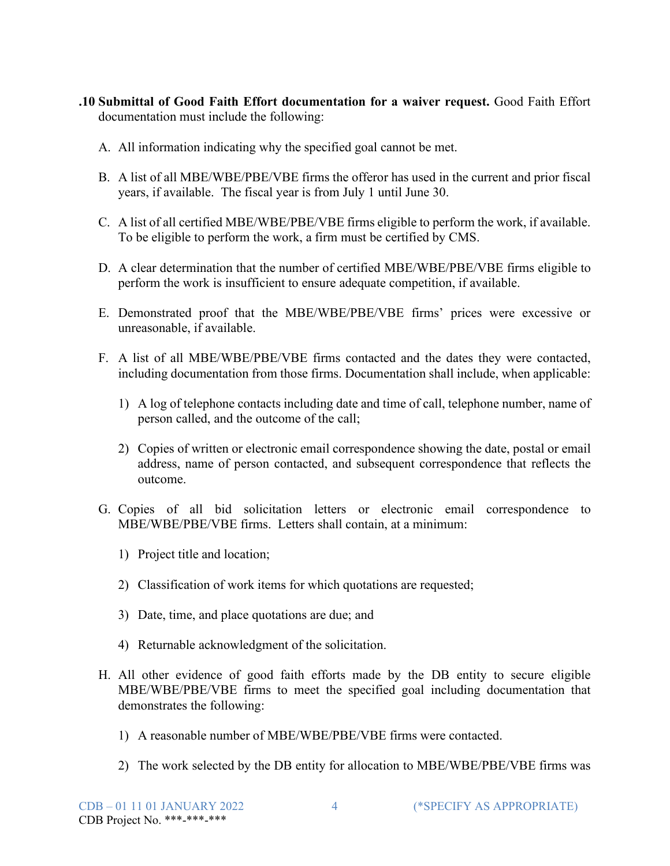- **.10 Submittal of Good Faith Effort documentation for a waiver request.** Good Faith Effort documentation must include the following:
	- A. All information indicating why the specified goal cannot be met.
	- B. A list of all MBE/WBE/PBE/VBE firms the offeror has used in the current and prior fiscal years, if available. The fiscal year is from July 1 until June 30.
	- C. A list of all certified MBE/WBE/PBE/VBE firms eligible to perform the work, if available. To be eligible to perform the work, a firm must be certified by CMS.
	- D. A clear determination that the number of certified MBE/WBE/PBE/VBE firms eligible to perform the work is insufficient to ensure adequate competition, if available.
	- E. Demonstrated proof that the MBE/WBE/PBE/VBE firms' prices were excessive or unreasonable, if available.
	- F. A list of all MBE/WBE/PBE/VBE firms contacted and the dates they were contacted, including documentation from those firms. Documentation shall include, when applicable:
		- 1) A log of telephone contacts including date and time of call, telephone number, name of person called, and the outcome of the call;
		- 2) Copies of written or electronic email correspondence showing the date, postal or email address, name of person contacted, and subsequent correspondence that reflects the outcome.
	- G. Copies of all bid solicitation letters or electronic email correspondence to MBE/WBE/PBE/VBE firms. Letters shall contain, at a minimum:
		- 1) Project title and location;
		- 2) Classification of work items for which quotations are requested;
		- 3) Date, time, and place quotations are due; and
		- 4) Returnable acknowledgment of the solicitation.
	- H. All other evidence of good faith efforts made by the DB entity to secure eligible MBE/WBE/PBE/VBE firms to meet the specified goal including documentation that demonstrates the following:
		- 1) A reasonable number of MBE/WBE/PBE/VBE firms were contacted.
		- 2) The work selected by the DB entity for allocation to MBE/WBE/PBE/VBE firms was

CDB – 01 11 01 JANUARY 2022 4 (\*SPECIFY AS APPROPRIATE)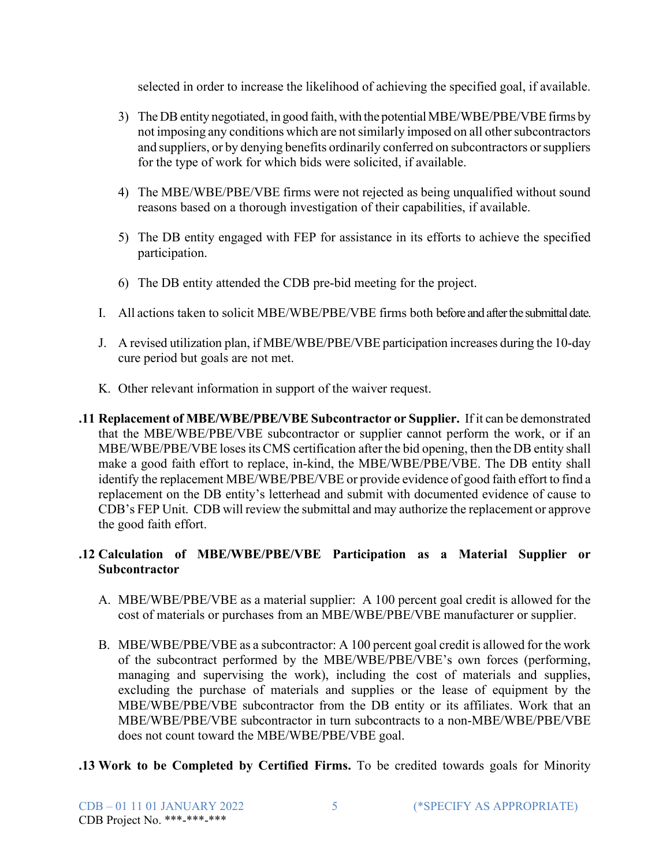selected in order to increase the likelihood of achieving the specified goal, if available.

- 3) The DB entity negotiated, in good faith, with the potential MBE/WBE/PBE/VBE firms by not imposing any conditions which are not similarly imposed on all other subcontractors and suppliers, or by denying benefits ordinarily conferred on subcontractors orsuppliers for the type of work for which bids were solicited, if available.
- 4) The MBE/WBE/PBE/VBE firms were not rejected as being unqualified without sound reasons based on a thorough investigation of their capabilities, if available.
- 5) The DB entity engaged with FEP for assistance in its efforts to achieve the specified participation.
- 6) The DB entity attended the CDB pre-bid meeting for the project.
- I. All actions taken to solicit MBE/WBE/PBE/VBE firms both before and after the submittal date.
- J. A revised utilization plan, if MBE/WBE/PBE/VBE participation increases during the 10-day cure period but goals are not met.
- K. Other relevant information in support of the waiver request.
- **.11 Replacement of MBE/WBE/PBE/VBE Subcontractor or Supplier.** If it can be demonstrated that the MBE/WBE/PBE/VBE subcontractor or supplier cannot perform the work, or if an MBE/WBE/PBE/VBE loses its CMS certification after the bid opening, then the DB entity shall make a good faith effort to replace, in-kind, the MBE/WBE/PBE/VBE. The DB entity shall identify the replacement MBE/WBE/PBE/VBE or provide evidence of good faith effort to find a replacement on the DB entity's letterhead and submit with documented evidence of cause to CDB's FEP Unit. CDB will review the submittal and may authorize the replacement or approve the good faith effort.

# **.12 Calculation of MBE/WBE/PBE/VBE Participation as a Material Supplier or Subcontractor**

- A. MBE/WBE/PBE/VBE as a material supplier: A 100 percent goal credit is allowed for the cost of materials or purchases from an MBE/WBE/PBE/VBE manufacturer or supplier.
- B. MBE/WBE/PBE/VBE as a subcontractor: A 100 percent goal credit is allowed for the work of the subcontract performed by the MBE/WBE/PBE/VBE's own forces (performing, managing and supervising the work), including the cost of materials and supplies, excluding the purchase of materials and supplies or the lease of equipment by the MBE/WBE/PBE/VBE subcontractor from the DB entity or its affiliates. Work that an MBE/WBE/PBE/VBE subcontractor in turn subcontracts to a non-MBE/WBE/PBE/VBE does not count toward the MBE/WBE/PBE/VBE goal.
- **.13 Work to be Completed by Certified Firms.** To be credited towards goals for Minority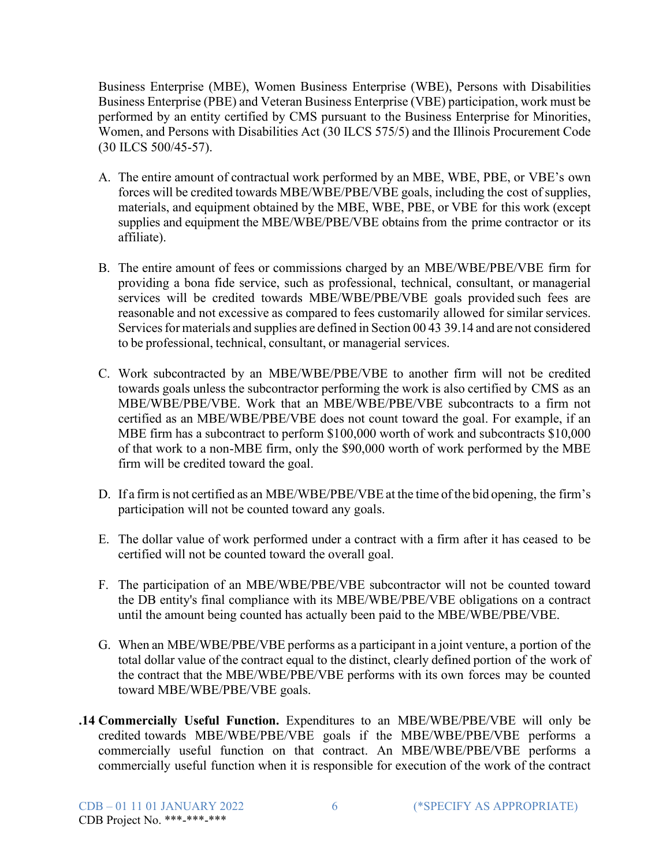Business Enterprise (MBE), Women Business Enterprise (WBE), Persons with Disabilities Business Enterprise (PBE) and Veteran Business Enterprise (VBE) participation, work must be performed by an entity certified by CMS pursuant to the Business Enterprise for Minorities, Women, and Persons with Disabilities Act (30 ILCS 575/5) and the Illinois Procurement Code (30 ILCS 500/45-57).

- A. The entire amount of contractual work performed by an MBE, WBE, PBE, or VBE's own forces will be credited towards MBE/WBE/PBE/VBE goals, including the cost of supplies, materials, and equipment obtained by the MBE, WBE, PBE, or VBE for this work (except supplies and equipment the MBE/WBE/PBE/VBE obtains from the prime contractor or its affiliate).
- B. The entire amount of fees or commissions charged by an MBE/WBE/PBE/VBE firm for providing a bona fide service, such as professional, technical, consultant, or managerial services will be credited towards MBE/WBE/PBE/VBE goals provided such fees are reasonable and not excessive as compared to fees customarily allowed for similar services. Services for materials and supplies are defined in Section 00 43 39.14 and are not considered to be professional, technical, consultant, or managerial services.
- C. Work subcontracted by an MBE/WBE/PBE/VBE to another firm will not be credited towards goals unless the subcontractor performing the work is also certified by CMS as an MBE/WBE/PBE/VBE. Work that an MBE/WBE/PBE/VBE subcontracts to a firm not certified as an MBE/WBE/PBE/VBE does not count toward the goal. For example, if an MBE firm has a subcontract to perform \$100,000 worth of work and subcontracts \$10,000 of that work to a non-MBE firm, only the \$90,000 worth of work performed by the MBE firm will be credited toward the goal.
- D. If a firm is not certified as an MBE/WBE/PBE/VBE at the time of the bid opening, the firm's participation will not be counted toward any goals.
- E. The dollar value of work performed under a contract with a firm after it has ceased to be certified will not be counted toward the overall goal.
- F. The participation of an MBE/WBE/PBE/VBE subcontractor will not be counted toward the DB entity's final compliance with its MBE/WBE/PBE/VBE obligations on a contract until the amount being counted has actually been paid to the MBE/WBE/PBE/VBE.
- G. When an MBE/WBE/PBE/VBE performs as a participant in a joint venture, a portion of the total dollar value of the contract equal to the distinct, clearly defined portion of the work of the contract that the MBE/WBE/PBE/VBE performs with its own forces may be counted toward MBE/WBE/PBE/VBE goals.
- **.14 Commercially Useful Function.** Expenditures to an MBE/WBE/PBE/VBE will only be credited towards MBE/WBE/PBE/VBE goals if the MBE/WBE/PBE/VBE performs a commercially useful function on that contract. An MBE/WBE/PBE/VBE performs a commercially useful function when it is responsible for execution of the work of the contract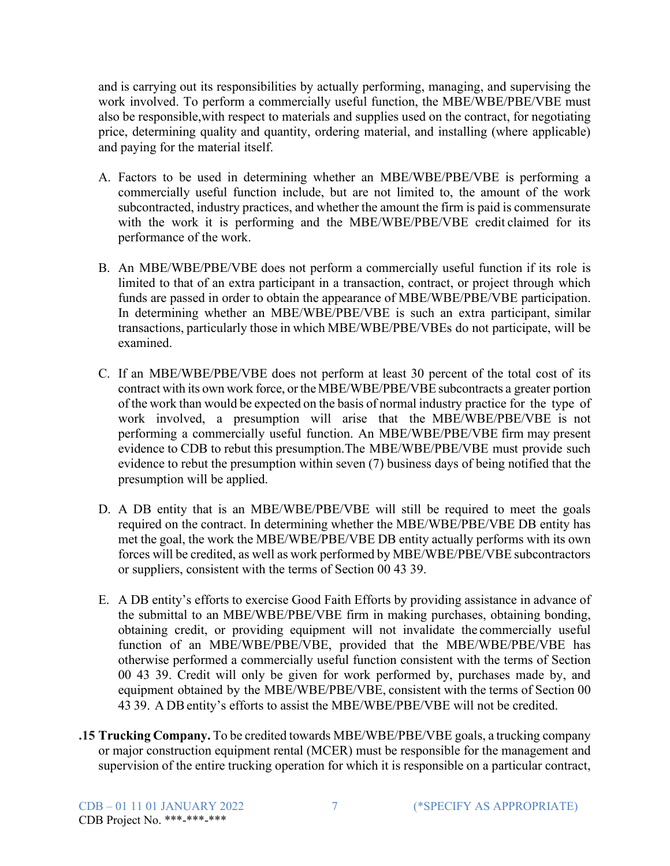and is carrying out its responsibilities by actually performing, managing, and supervising the work involved. To perform a commercially useful function, the MBE/WBE/PBE/VBE must also be responsible,with respect to materials and supplies used on the contract, for negotiating price, determining quality and quantity, ordering material, and installing (where applicable) and paying for the material itself.

- A. Factors to be used in determining whether an MBE/WBE/PBE/VBE is performing a commercially useful function include, but are not limited to, the amount of the work subcontracted, industry practices, and whether the amount the firm is paid is commensurate with the work it is performing and the MBE/WBE/PBE/VBE credit claimed for its performance of the work.
- B. An MBE/WBE/PBE/VBE does not perform a commercially useful function if its role is limited to that of an extra participant in a transaction, contract, or project through which funds are passed in order to obtain the appearance of MBE/WBE/PBE/VBE participation. In determining whether an MBE/WBE/PBE/VBE is such an extra participant, similar transactions, particularly those in which MBE/WBE/PBE/VBEs do not participate, will be examined.
- C. If an MBE/WBE/PBE/VBE does not perform at least 30 percent of the total cost of its contract with its own work force, or the MBE/WBE/PBE/VBE subcontracts a greater portion of the work than would be expected on the basis of normal industry practice for the type of work involved, a presumption will arise that the MBE/WBE/PBE/VBE is not performing a commercially useful function. An MBE/WBE/PBE/VBE firm may present evidence to CDB to rebut this presumption.The MBE/WBE/PBE/VBE must provide such evidence to rebut the presumption within seven (7) business days of being notified that the presumption will be applied.
- D. A DB entity that is an MBE/WBE/PBE/VBE will still be required to meet the goals required on the contract. In determining whether the MBE/WBE/PBE/VBE DB entity has met the goal, the work the MBE/WBE/PBE/VBE DB entity actually performs with its own forces will be credited, as well as work performed by MBE/WBE/PBE/VBE subcontractors or suppliers, consistent with the terms of Section 00 43 39.
- E. A DB entity's efforts to exercise Good Faith Efforts by providing assistance in advance of the submittal to an MBE/WBE/PBE/VBE firm in making purchases, obtaining bonding, obtaining credit, or providing equipment will not invalidate the commercially useful function of an MBE/WBE/PBE/VBE, provided that the MBE/WBE/PBE/VBE has otherwise performed a commercially useful function consistent with the terms of Section 00 43 39. Credit will only be given for work performed by, purchases made by, and equipment obtained by the MBE/WBE/PBE/VBE, consistent with the terms of Section 00 43 39. A DBentity's efforts to assist the MBE/WBE/PBE/VBE will not be credited.
- **.15 Trucking Company.** To be credited towards MBE/WBE/PBE/VBE goals, a trucking company or major construction equipment rental (MCER) must be responsible for the management and supervision of the entire trucking operation for which it is responsible on a particular contract,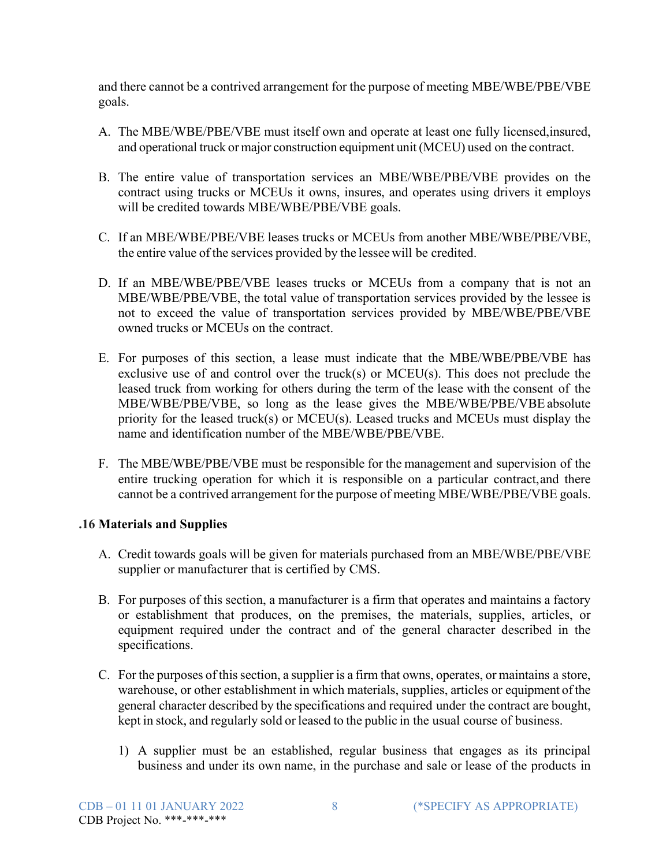and there cannot be a contrived arrangement for the purpose of meeting MBE/WBE/PBE/VBE goals.

- A. The MBE/WBE/PBE/VBE must itself own and operate at least one fully licensed,insured, and operational truck or major construction equipment unit (MCEU) used on the contract.
- B. The entire value of transportation services an MBE/WBE/PBE/VBE provides on the contract using trucks or MCEUs it owns, insures, and operates using drivers it employs will be credited towards MBE/WBE/PBE/VBE goals.
- C. If an MBE/WBE/PBE/VBE leases trucks or MCEUs from another MBE/WBE/PBE/VBE, the entire value of the services provided by the lessee will be credited.
- D. If an MBE/WBE/PBE/VBE leases trucks or MCEUs from a company that is not an MBE/WBE/PBE/VBE, the total value of transportation services provided by the lessee is not to exceed the value of transportation services provided by MBE/WBE/PBE/VBE owned trucks or MCEUs on the contract.
- E. For purposes of this section, a lease must indicate that the MBE/WBE/PBE/VBE has exclusive use of and control over the truck(s) or MCEU(s). This does not preclude the leased truck from working for others during the term of the lease with the consent of the MBE/WBE/PBE/VBE, so long as the lease gives the MBE/WBE/PBE/VBE absolute priority for the leased truck(s) or MCEU(s). Leased trucks and MCEUs must display the name and identification number of the MBE/WBE/PBE/VBE.
- F. The MBE/WBE/PBE/VBE must be responsible for the management and supervision of the entire trucking operation for which it is responsible on a particular contract,and there cannot be a contrived arrangement for the purpose of meeting MBE/WBE/PBE/VBE goals.

## **.16 Materials and Supplies**

- A. Credit towards goals will be given for materials purchased from an MBE/WBE/PBE/VBE supplier or manufacturer that is certified by CMS.
- B. For purposes of this section, a manufacturer is a firm that operates and maintains a factory or establishment that produces, on the premises, the materials, supplies, articles, or equipment required under the contract and of the general character described in the specifications.
- C. For the purposes of this section, a supplier is a firm that owns, operates, or maintains a store, warehouse, or other establishment in which materials, supplies, articles or equipment ofthe general character described by the specifications and required under the contract are bought, kept in stock, and regularly sold or leased to the public in the usual course of business.
	- 1) A supplier must be an established, regular business that engages as its principal business and under its own name, in the purchase and sale or lease of the products in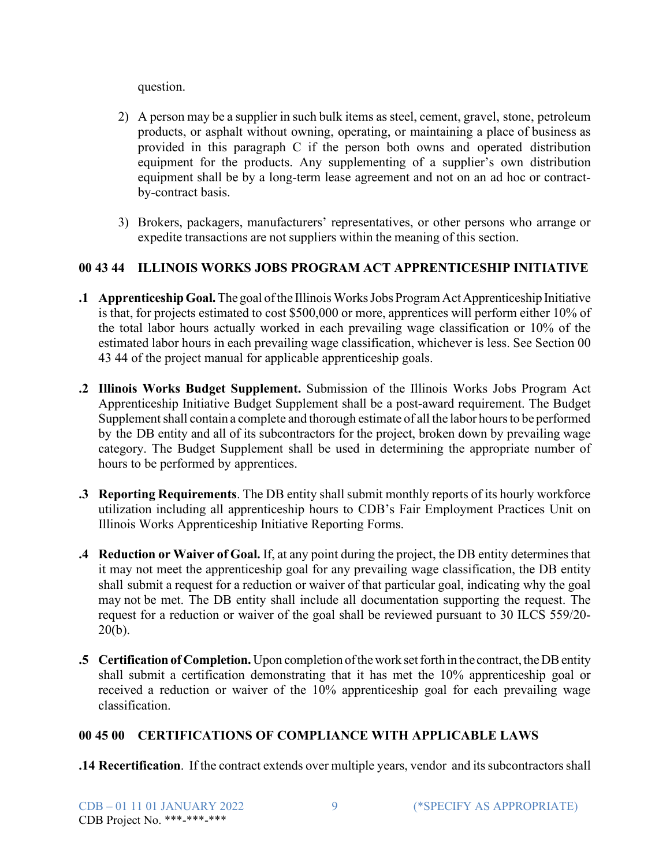question.

- 2) A person may be a supplier in such bulk items as steel, cement, gravel, stone, petroleum products, or asphalt without owning, operating, or maintaining a place of business as provided in this paragraph C if the person both owns and operated distribution equipment for the products. Any supplementing of a supplier's own distribution equipment shall be by a long-term lease agreement and not on an ad hoc or contractby-contract basis.
- 3) Brokers, packagers, manufacturers' representatives, or other persons who arrange or expedite transactions are not suppliers within the meaning of this section.

# **00 43 44 ILLINOIS WORKS JOBS PROGRAM ACT APPRENTICESHIP INITIATIVE**

- **.1 ApprenticeshipGoal.**The goal ofthe IllinoisWorksJobs ProgramActApprenticeship Initiative is that, for projects estimated to cost \$500,000 or more, apprentices will perform either 10% of the total labor hours actually worked in each prevailing wage classification or 10% of the estimated labor hours in each prevailing wage classification, whichever is less. See Section 00 43 44 of the project manual for applicable apprenticeship goals.
- **.2 Illinois Works Budget Supplement.** Submission of the Illinois Works Jobs Program Act Apprenticeship Initiative Budget Supplement shall be a post-award requirement. The Budget Supplement shall contain a complete and thorough estimate of all the labor hours to be performed by the DB entity and all of its subcontractors for the project, broken down by prevailing wage category. The Budget Supplement shall be used in determining the appropriate number of hours to be performed by apprentices.
- **.3 Reporting Requirements**. The DB entity shall submit monthly reports of its hourly workforce utilization including all apprenticeship hours to CDB's Fair Employment Practices Unit on Illinois Works Apprenticeship Initiative Reporting Forms.
- **.4 Reduction or Waiver of Goal.** If, at any point during the project, the DB entity determinesthat it may not meet the apprenticeship goal for any prevailing wage classification, the DB entity shall submit a request for a reduction or waiver of that particular goal, indicating why the goal may not be met. The DB entity shall include all documentation supporting the request. The request for a reduction or waiver of the goal shall be reviewed pursuant to 30 ILCS 559/20- 20(b).
- **.5 Certification of Completion.** Upon completion of the work set forth in the contract, the DB entity shall submit a certification demonstrating that it has met the 10% apprenticeship goal or received a reduction or waiver of the 10% apprenticeship goal for each prevailing wage classification.

# **00 45 00 CERTIFICATIONS OF COMPLIANCE WITH APPLICABLE LAWS**

**.14 Recertification**. If the contract extends over multiple years, vendor and itssubcontractorsshall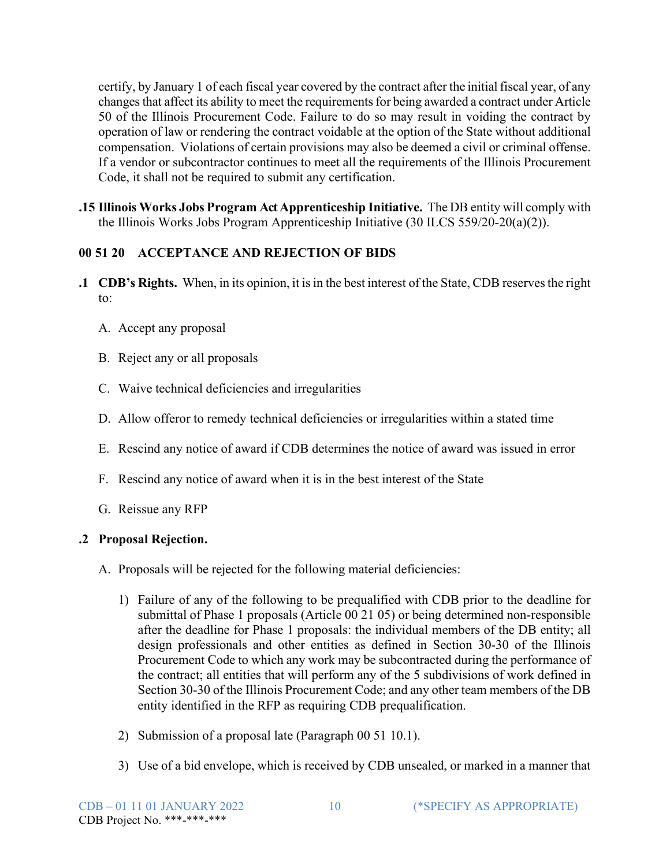certify, by January 1 of each fiscal year covered by the contract after the initialfiscal year, of any changes that affect its ability to meet the requirements for being awarded a contract under Article 50 of the Illinois Procurement Code. Failure to do so may result in voiding the contract by operation of law or rendering the contract voidable at the option of the State without additional compensation. Violations of certain provisions may also be deemed a civil or criminal offense. If a vendor or subcontractor continues to meet all the requirements of the Illinois Procurement Code, it shall not be required to submit any certification.

**.15 Illinois Works Jobs Program Act Apprenticeship Initiative.** The DB entity will comply with the Illinois Works Jobs Program Apprenticeship Initiative (30 ILCS 559/20-20(a)(2)).

# **00 51 20 ACCEPTANCE AND REJECTION OF BIDS**

- **.1 CDB's Rights.** When, in its opinion, it is in the best interest of the State, CDB reserves the right to:
	- A. Accept any proposal
	- B. Reject any or all proposals
	- C. Waive technical deficiencies and irregularities
	- D. Allow offeror to remedy technical deficiencies or irregularities within a stated time
	- E. Rescind any notice of award if CDB determines the notice of award was issued in error
	- F. Rescind any notice of award when it is in the best interest of the State
	- G. Reissue any RFP

# **.2 Proposal Rejection.**

- A. Proposals will be rejected for the following material deficiencies:
	- 1) Failure of any of the following to be prequalified with CDB prior to the deadline for submittal of Phase 1 proposals (Article 00 21 05) or being determined non-responsible after the deadline for Phase 1 proposals: the individual members of the DB entity; all design professionals and other entities as defined in Section 30-30 of the Illinois Procurement Code to which any work may be subcontracted during the performance of the contract; all entities that will perform any of the 5 subdivisions of work defined in Section 30-30 of the Illinois Procurement Code; and any other team members of the DB entity identified in the RFP as requiring CDB prequalification.
	- 2) Submission of a proposal late (Paragraph 00 51 10.1).
	- 3) Use of a bid envelope, which is received by CDB unsealed, or marked in a manner that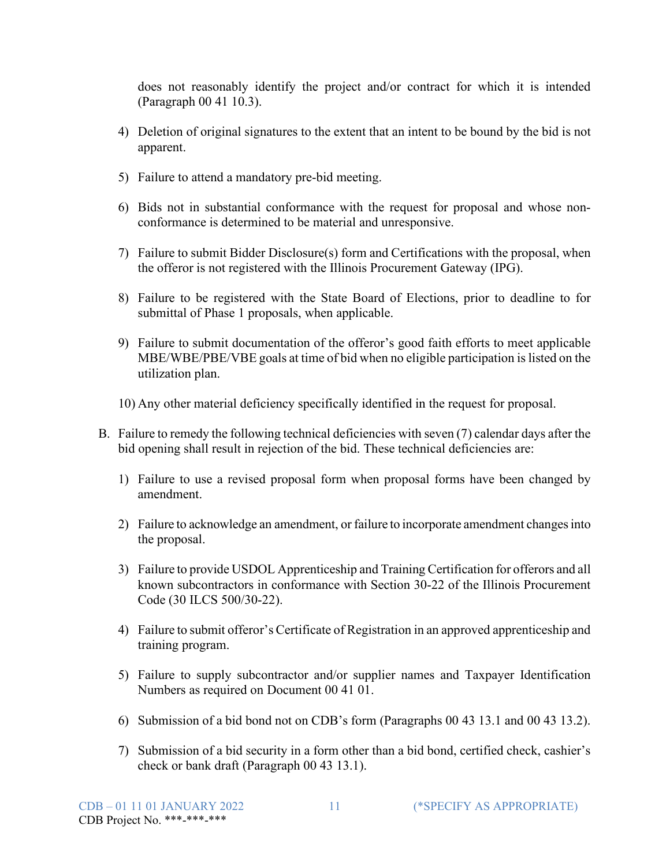does not reasonably identify the project and/or contract for which it is intended (Paragraph 00 41 10.3).

- 4) Deletion of original signatures to the extent that an intent to be bound by the bid is not apparent.
- 5) Failure to attend a mandatory pre-bid meeting.
- 6) Bids not in substantial conformance with the request for proposal and whose nonconformance is determined to be material and unresponsive.
- 7) Failure to submit Bidder Disclosure(s) form and Certifications with the proposal, when the offeror is not registered with the Illinois Procurement Gateway (IPG).
- 8) Failure to be registered with the State Board of Elections, prior to deadline to for submittal of Phase 1 proposals, when applicable.
- 9) Failure to submit documentation of the offeror's good faith efforts to meet applicable MBE/WBE/PBE/VBE goals at time of bid when no eligible participation is listed on the utilization plan.
- 10) Any other material deficiency specifically identified in the request for proposal.
- B. Failure to remedy the following technical deficiencies with seven (7) calendar days after the bid opening shall result in rejection of the bid. These technical deficiencies are:
	- 1) Failure to use a revised proposal form when proposal forms have been changed by amendment.
	- 2) Failure to acknowledge an amendment, or failure to incorporate amendment changesinto the proposal.
	- 3) Failure to provide USDOL Apprenticeship and Training Certification for offerors and all known subcontractors in conformance with Section 30-22 of the Illinois Procurement Code (30 ILCS 500/30-22).
	- 4) Failure to submit offeror's Certificate of Registration in an approved apprenticeship and training program.
	- 5) Failure to supply subcontractor and/or supplier names and Taxpayer Identification Numbers as required on Document 00 41 01.
	- 6) Submission of a bid bond not on CDB's form (Paragraphs 00 43 13.1 and 00 43 13.2).
	- 7) Submission of a bid security in a form other than a bid bond, certified check, cashier's check or bank draft (Paragraph 00 43 13.1).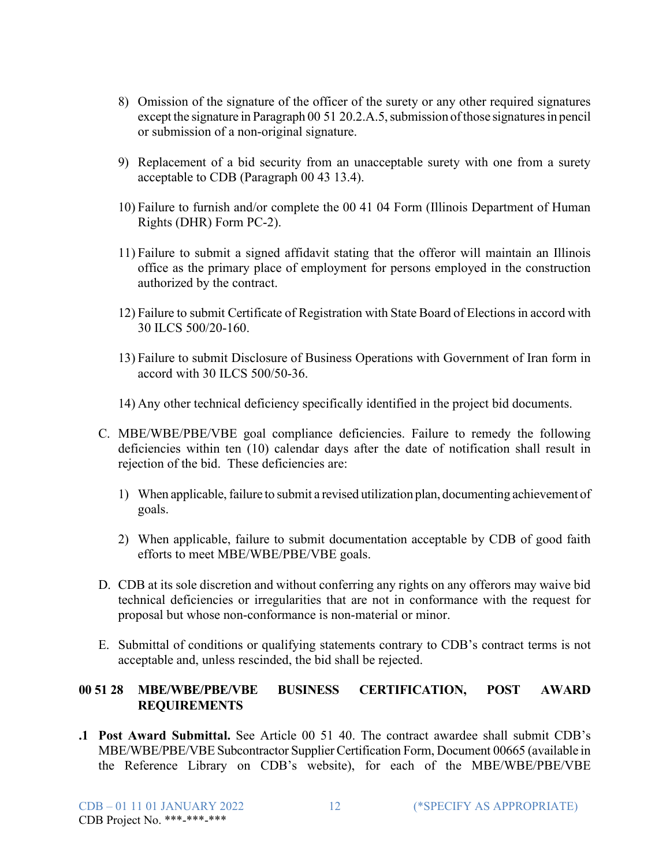- 8) Omission of the signature of the officer of the surety or any other required signatures except the signature in Paragraph 00 51 20.2.A.5, submission of those signatures in pencil or submission of a non-original signature.
- 9) Replacement of a bid security from an unacceptable surety with one from a surety acceptable to CDB (Paragraph 00 43 13.4).
- 10) Failure to furnish and/or complete the 00 41 04 Form (Illinois Department of Human Rights (DHR) Form PC-2).
- 11) Failure to submit a signed affidavit stating that the offeror will maintain an Illinois office as the primary place of employment for persons employed in the construction authorized by the contract.
- 12) Failure to submit Certificate of Registration with State Board of Electionsin accord with 30 ILCS 500/20-160.
- 13) Failure to submit Disclosure of Business Operations with Government of Iran form in accord with 30 ILCS 500/50-36.
- 14) Any other technical deficiency specifically identified in the project bid documents.
- C. MBE/WBE/PBE/VBE goal compliance deficiencies. Failure to remedy the following deficiencies within ten (10) calendar days after the date of notification shall result in rejection of the bid. These deficiencies are:
	- 1) When applicable, failure to submit a revised utilization plan, documenting achievement of goals.
	- 2) When applicable, failure to submit documentation acceptable by CDB of good faith efforts to meet MBE/WBE/PBE/VBE goals.
- D. CDB at its sole discretion and without conferring any rights on any offerors may waive bid technical deficiencies or irregularities that are not in conformance with the request for proposal but whose non-conformance is non-material or minor.
- E. Submittal of conditions or qualifying statements contrary to CDB's contract terms is not acceptable and, unless rescinded, the bid shall be rejected.

#### **00 51 28 MBE/WBE/PBE/VBE BUSINESS CERTIFICATION, POST AWARD REQUIREMENTS**

**.1 Post Award Submittal.** See Article 00 51 40. The contract awardee shall submit CDB's MBE/WBE/PBE/VBE Subcontractor Supplier Certification Form, Document 00665 (available in the Reference Library on CDB's website), for each of the MBE/WBE/PBE/VBE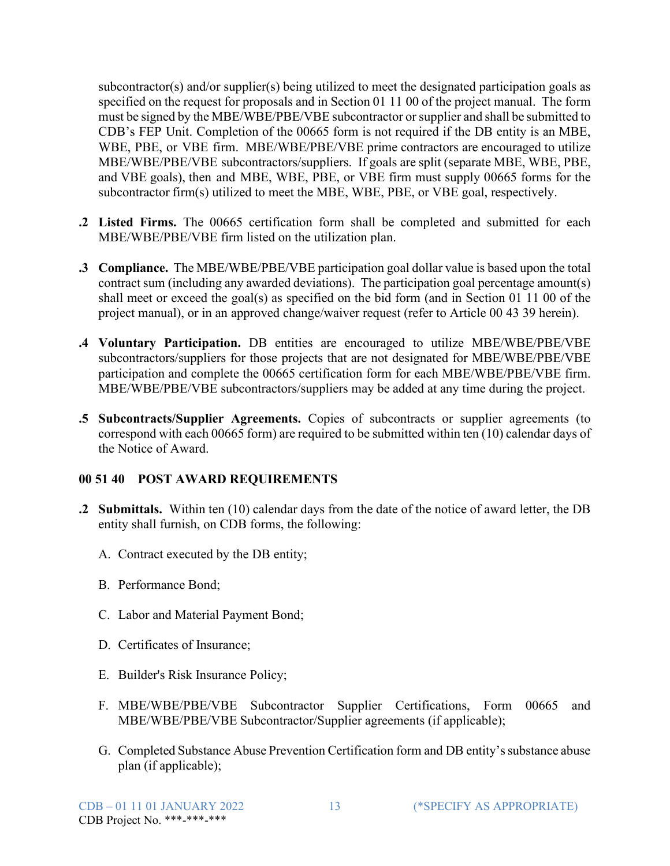subcontractor(s) and/or supplier(s) being utilized to meet the designated participation goals as specified on the request for proposals and in Section 01 11 00 of the project manual. The form must be signed by the MBE/WBE/PBE/VBE subcontractor or supplier and shall be submitted to CDB's FEP Unit. Completion of the 00665 form is not required if the DB entity is an MBE, WBE, PBE, or VBE firm. MBE/WBE/PBE/VBE prime contractors are encouraged to utilize MBE/WBE/PBE/VBE subcontractors/suppliers. If goals are split (separate MBE, WBE, PBE, and VBE goals), then and MBE, WBE, PBE, or VBE firm must supply 00665 forms for the subcontractor firm(s) utilized to meet the MBE, WBE, PBE, or VBE goal, respectively.

- **.2 Listed Firms.** The 00665 certification form shall be completed and submitted for each MBE/WBE/PBE/VBE firm listed on the utilization plan.
- **.3 Compliance.** The MBE/WBE/PBE/VBE participation goal dollar value is based upon the total contract sum (including any awarded deviations). The participation goal percentage amount(s) shall meet or exceed the goal(s) as specified on the bid form (and in Section 01 11 00 of the project manual), or in an approved change/waiver request (refer to Article 00 43 39 herein).
- **.4 Voluntary Participation.** DB entities are encouraged to utilize MBE/WBE/PBE/VBE subcontractors/suppliers for those projects that are not designated for MBE/WBE/PBE/VBE participation and complete the 00665 certification form for each MBE/WBE/PBE/VBE firm. MBE/WBE/PBE/VBE subcontractors/suppliers may be added at any time during the project.
- **.5 Subcontracts/Supplier Agreements.** Copies of subcontracts or supplier agreements (to correspond with each 00665 form) are required to be submitted within ten (10) calendar days of the Notice of Award.

#### **00 51 40 POST AWARD REQUIREMENTS**

- **.2 Submittals.** Within ten (10) calendar days from the date of the notice of award letter, the DB entity shall furnish, on CDB forms, the following:
	- A. Contract executed by the DB entity;
	- B. Performance Bond;
	- C. Labor and Material Payment Bond;
	- D. Certificates of Insurance;
	- E. Builder's Risk Insurance Policy;
	- F. MBE/WBE/PBE/VBE Subcontractor Supplier Certifications, Form 00665 and MBE/WBE/PBE/VBE Subcontractor/Supplier agreements (if applicable);
	- G. Completed Substance Abuse Prevention Certification form and DB entity's substance abuse plan (if applicable);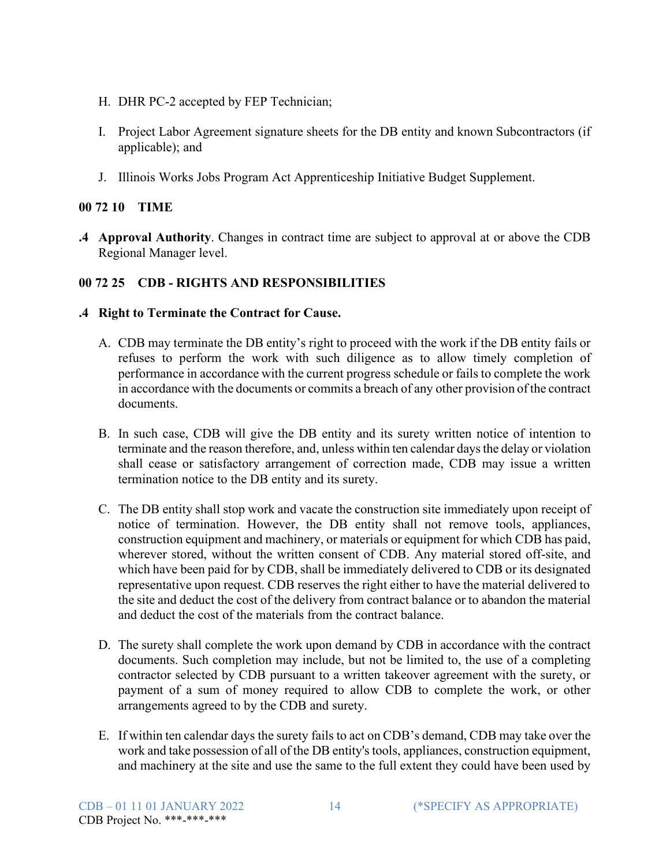- H. DHR PC-2 accepted by FEP Technician;
- I. Project Labor Agreement signature sheets for the DB entity and known Subcontractors (if applicable); and
- J. Illinois Works Jobs Program Act Apprenticeship Initiative Budget Supplement.

#### **00 72 10 TIME**

**.4 Approval Authority**. Changes in contract time are subject to approval at or above the CDB Regional Manager level.

## **00 72 25 CDB - RIGHTS AND RESPONSIBILITIES**

- **.4 Right to Terminate the Contract for Cause.**
	- A. CDB may terminate the DB entity's right to proceed with the work if the DB entity fails or refuses to perform the work with such diligence as to allow timely completion of performance in accordance with the current progress schedule or fails to complete the work in accordance with the documents or commits a breach of any other provision of the contract documents.
	- B. In such case, CDB will give the DB entity and its surety written notice of intention to terminate and the reason therefore, and, unless within ten calendar daysthe delay or violation shall cease or satisfactory arrangement of correction made, CDB may issue a written termination notice to the DB entity and its surety.
	- C. The DB entity shall stop work and vacate the construction site immediately upon receipt of notice of termination. However, the DB entity shall not remove tools, appliances, construction equipment and machinery, or materials or equipment for which CDB has paid, wherever stored, without the written consent of CDB. Any material stored off-site, and which have been paid for by CDB, shall be immediately delivered to CDB or its designated representative upon request. CDB reserves the right either to have the material delivered to the site and deduct the cost of the delivery from contract balance or to abandon the material and deduct the cost of the materials from the contract balance.
	- D. The surety shall complete the work upon demand by CDB in accordance with the contract documents. Such completion may include, but not be limited to, the use of a completing contractor selected by CDB pursuant to a written takeover agreement with the surety, or payment of a sum of money required to allow CDB to complete the work, or other arrangements agreed to by the CDB and surety.
	- E. If within ten calendar days the surety fails to act on CDB's demand, CDB may take over the work and take possession of all of the DB entity's tools, appliances, construction equipment, and machinery at the site and use the same to the full extent they could have been used by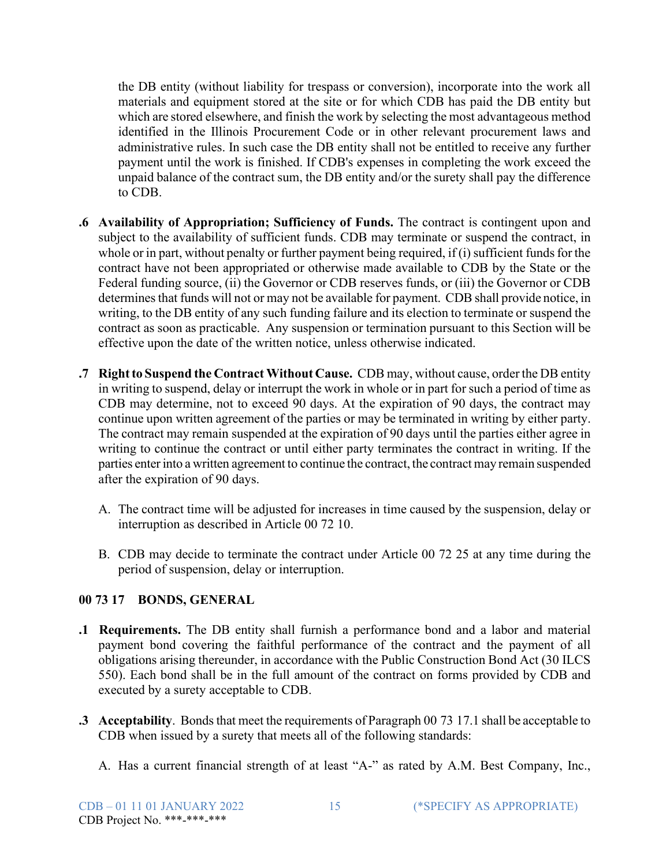the DB entity (without liability for trespass or conversion), incorporate into the work all materials and equipment stored at the site or for which CDB has paid the DB entity but which are stored elsewhere, and finish the work by selecting the most advantageous method identified in the Illinois Procurement Code or in other relevant procurement laws and administrative rules. In such case the DB entity shall not be entitled to receive any further payment until the work is finished. If CDB's expenses in completing the work exceed the unpaid balance of the contract sum, the DB entity and/or the surety shall pay the difference to CDB.

- **.6 Availability of Appropriation; Sufficiency of Funds.** The contract is contingent upon and subject to the availability of sufficient funds. CDB may terminate or suspend the contract, in whole or in part, without penalty or further payment being required, if  $(i)$  sufficient funds for the contract have not been appropriated or otherwise made available to CDB by the State or the Federal funding source, (ii) the Governor or CDB reserves funds, or (iii) the Governor or CDB determines that funds will not or may not be available for payment. CDB shall provide notice, in writing, to the DB entity of any such funding failure and its election to terminate or suspend the contract as soon as practicable. Any suspension or termination pursuant to this Section will be effective upon the date of the written notice, unless otherwise indicated.
- **.7 Right to Suspend the Contract Without Cause.** CDB may, without cause, order the DB entity in writing to suspend, delay or interrupt the work in whole or in part for such a period of time as CDB may determine, not to exceed 90 days. At the expiration of 90 days, the contract may continue upon written agreement of the parties or may be terminated in writing by either party. The contract may remain suspended at the expiration of 90 days until the parties either agree in writing to continue the contract or until either party terminates the contract in writing. If the parties enterinto a written agreement to continue the contract, the contract may remain suspended after the expiration of 90 days.
	- A. The contract time will be adjusted for increases in time caused by the suspension, delay or interruption as described in Article 00 72 10.
	- B. CDB may decide to terminate the contract under Article 00 72 25 at any time during the period of suspension, delay or interruption.

## **00 73 17 BONDS, GENERAL**

- **.1 Requirements.** The DB entity shall furnish a performance bond and a labor and material payment bond covering the faithful performance of the contract and the payment of all obligations arising thereunder, in accordance with the Public Construction Bond Act (30 ILCS 550). Each bond shall be in the full amount of the contract on forms provided by CDB and executed by a surety acceptable to CDB.
- **.3** Acceptability. Bonds that meet the requirements of Paragraph 00 73 17.1 shall be acceptable to CDB when issued by a surety that meets all of the following standards:
	- A. Has a current financial strength of at least "A-" as rated by A.M. Best Company, Inc.,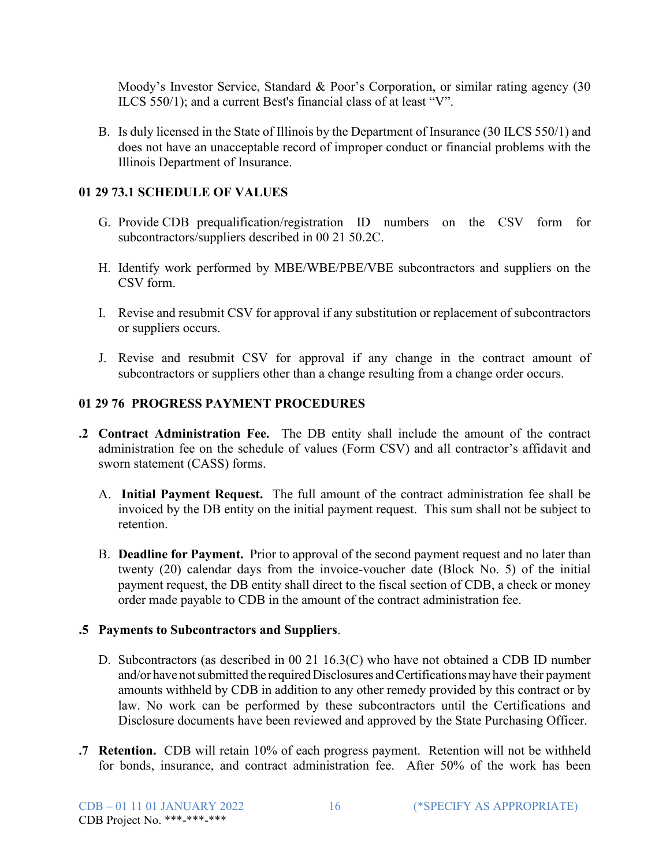Moody's Investor Service, Standard & Poor's Corporation, or similar rating agency (30 ILCS 550/1); and a current Best's financial class of at least "V".

B. Is duly licensed in the State of Illinois by the Department of Insurance (30 ILCS 550/1) and does not have an unacceptable record of improper conduct or financial problems with the Illinois Department of Insurance.

## **01 29 73.1 SCHEDULE OF VALUES**

- G. Provide CDB prequalification/registration ID numbers on the CSV form for subcontractors/suppliers described in 00 21 50.2C.
- H. Identify work performed by MBE/WBE/PBE/VBE subcontractors and suppliers on the CSV form.
- I. Revise and resubmit CSV for approval if any substitution or replacement of subcontractors or suppliers occurs.
- J. Revise and resubmit CSV for approval if any change in the contract amount of subcontractors or suppliers other than a change resulting from a change order occurs.

## **01 29 76 PROGRESS PAYMENT PROCEDURES**

- **.2 Contract Administration Fee.** The DB entity shall include the amount of the contract administration fee on the schedule of values (Form CSV) and all contractor's affidavit and sworn statement (CASS) forms.
	- A. **Initial Payment Request.** The full amount of the contract administration fee shall be invoiced by the DB entity on the initial payment request. This sum shall not be subject to retention.
	- B. **Deadline for Payment.** Prior to approval of the second payment request and no later than twenty (20) calendar days from the invoice-voucher date (Block No. 5) of the initial payment request, the DB entity shall direct to the fiscal section of CDB, a check or money order made payable to CDB in the amount of the contract administration fee.

## **.5 Payments to Subcontractors and Suppliers**.

- D. Subcontractors (as described in 00 21 16.3(C) who have not obtained a CDB ID number and/or have not submitted the required Disclosures and Certifications may have their payment amounts withheld by CDB in addition to any other remedy provided by this contract or by law. No work can be performed by these subcontractors until the Certifications and Disclosure documents have been reviewed and approved by the State Purchasing Officer.
- **.7 Retention.** CDB will retain 10% of each progress payment. Retention will not be withheld for bonds, insurance, and contract administration fee. After 50% of the work has been